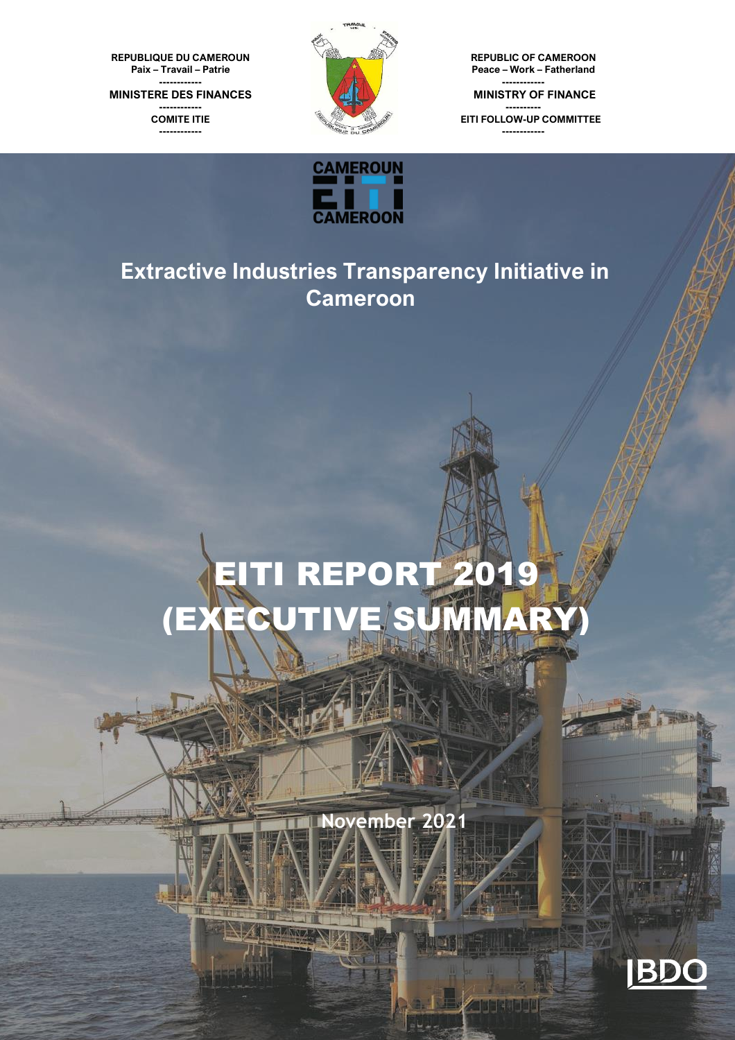**REPUBLIQUE DU CAMEROUN Paix – Travail – Patrie ------------**

**MINISTERE DES FINANCES ------------**

> **COMITE ITIE ------------**



 **REPUBLIC OF CAMEROON Peace – Work – Fatherland ------------**

 **MINISTRY OF FINANCE**

**---------- EITI FOLLOW-UP COMMITTEE ------------**



# **Extractive Industries Transparency Initiative in Cameroon**

# EITI REPORT 2019 (EXECUTIVE SUMMARY)

**November 2021**

15日照照画画图

**TAZ ANY** 

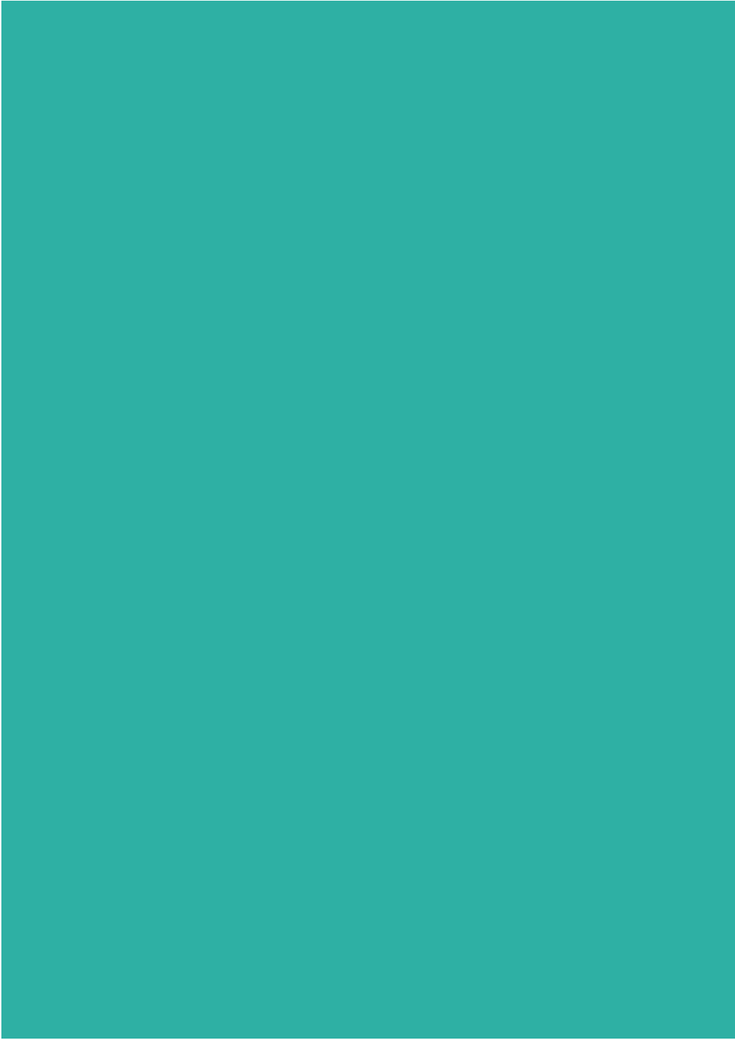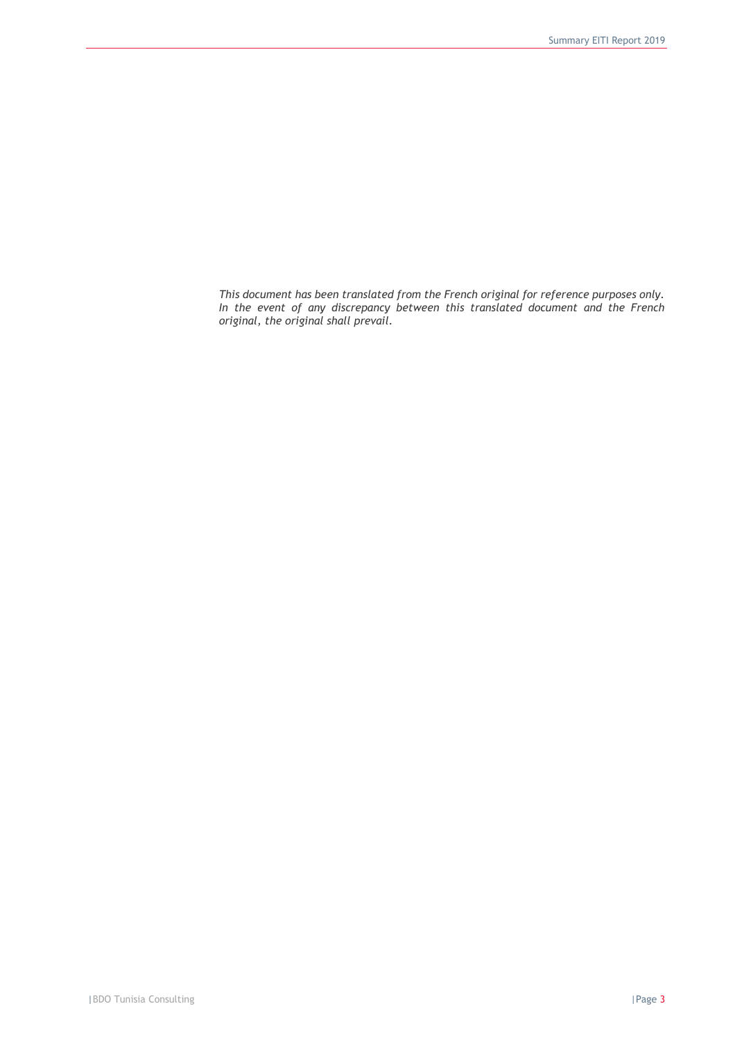*This document has been translated from the French original for reference purposes only. In the event of any discrepancy between this translated document and the French original, the original shall prevail.*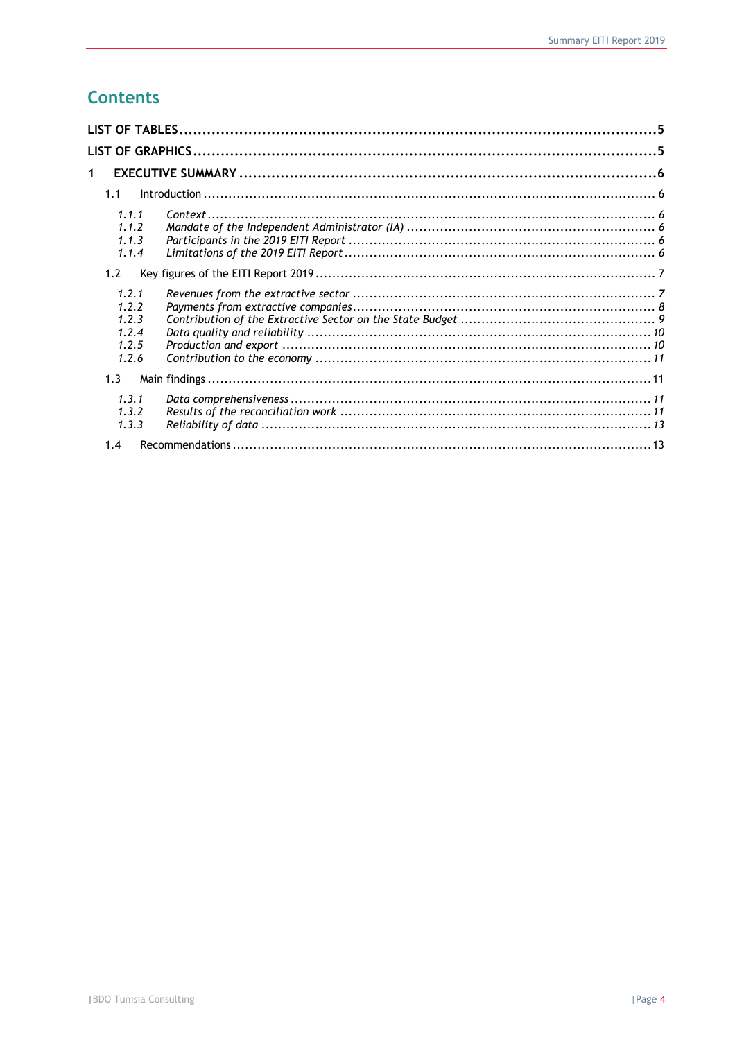# **Contents**

| 1                                |  |
|----------------------------------|--|
| 1.1                              |  |
| 1.1.1<br>1.1.2<br>1.1.3<br>1.1.4 |  |
| 1.2                              |  |
| 1.2.1<br>1.2.2<br>1.2.3<br>1.2.4 |  |
| 1.2.5<br>1.2.6                   |  |
| 1.3                              |  |
| 1.3.1<br>1.3.2<br>1, 3, 3        |  |
| 1.4                              |  |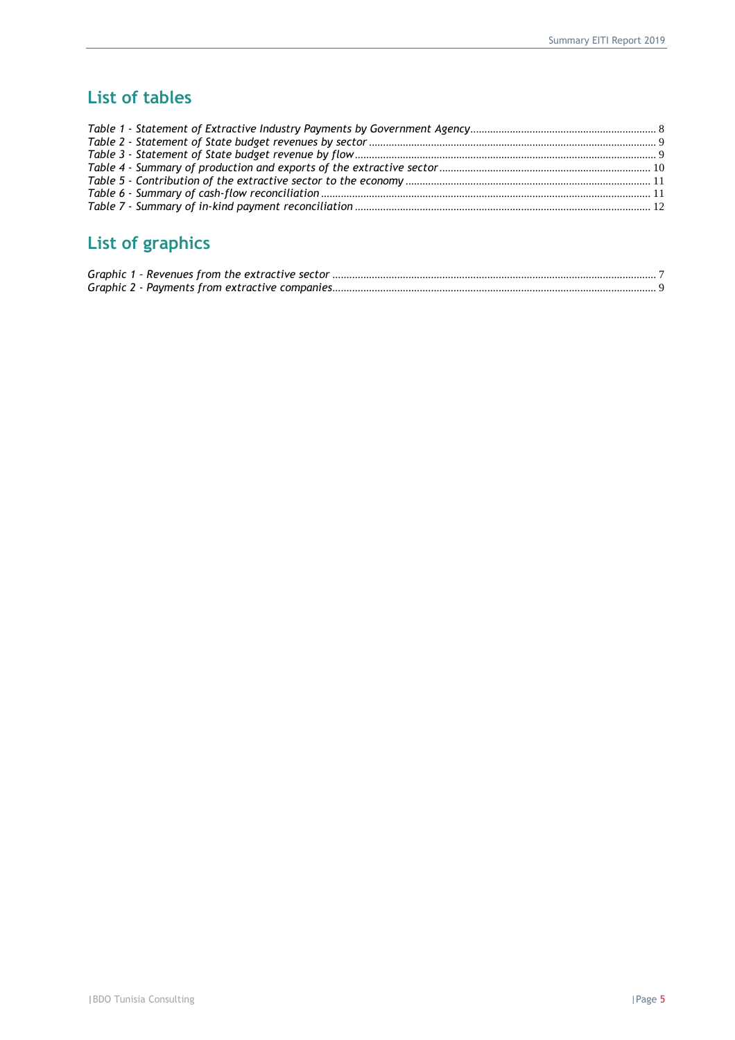# <span id="page-4-0"></span>**List of tables**

# <span id="page-4-1"></span>**List of graphics**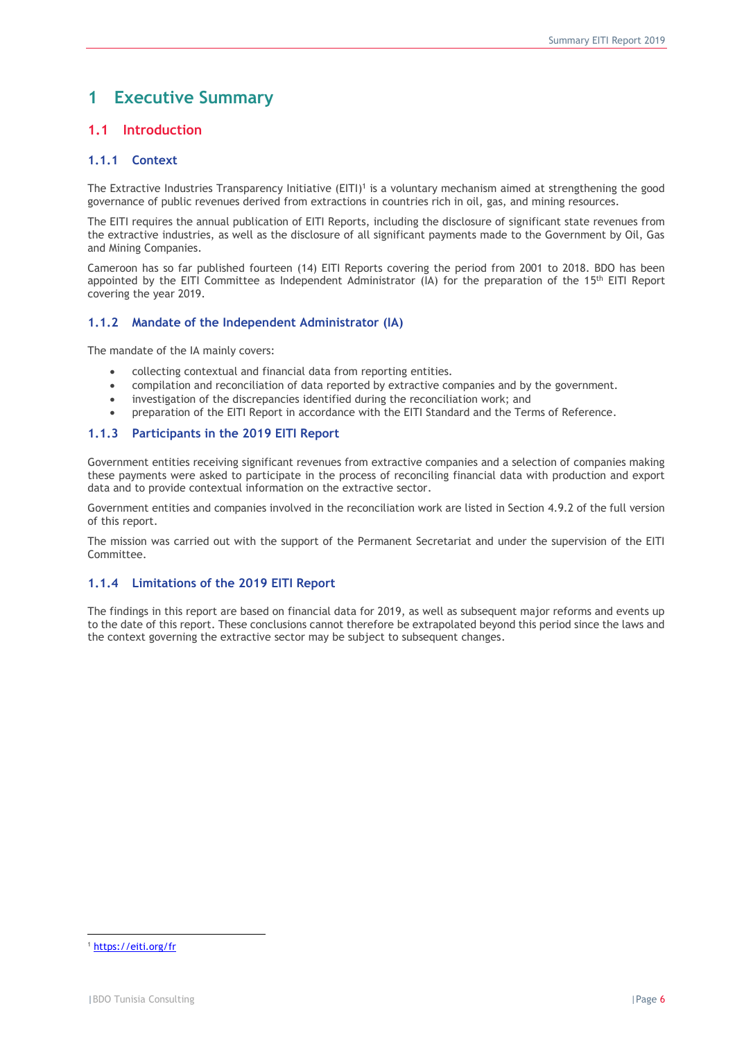# <span id="page-5-0"></span>**1 Executive Summary**

# <span id="page-5-1"></span>**1.1 Introduction**

# <span id="page-5-2"></span>**1.1.1 Context**

The Extractive Industries Transparency Initiative (EITI)<sup>1</sup> is a voluntary mechanism aimed at strengthening the good governance of public revenues derived from extractions in countries rich in oil, gas, and mining resources.

The EITI requires the annual publication of EITI Reports, including the disclosure of significant state revenues from the extractive industries, as well as the disclosure of all significant payments made to the Government by Oil, Gas and Mining Companies.

Cameroon has so far published fourteen (14) EITI Reports covering the period from 2001 to 2018. BDO has been appointed by the EITI Committee as Independent Administrator (IA) for the preparation of the 15<sup>th</sup> EITI Report covering the year 2019.

# <span id="page-5-3"></span>**1.1.2 Mandate of the Independent Administrator (IA)**

The mandate of the IA mainly covers:

- collecting contextual and financial data from reporting entities.
- compilation and reconciliation of data reported by extractive companies and by the government.
- investigation of the discrepancies identified during the reconciliation work; and
- preparation of the EITI Report in accordance with the EITI Standard and the Terms of Reference.

# <span id="page-5-4"></span>**1.1.3 Participants in the 2019 EITI Report**

Government entities receiving significant revenues from extractive companies and a selection of companies making these payments were asked to participate in the process of reconciling financial data with production and export data and to provide contextual information on the extractive sector.

Government entities and companies involved in the reconciliation work are listed in Section 4.9.2 of the full version of this report.

The mission was carried out with the support of the Permanent Secretariat and under the supervision of the EITI Committee.

# <span id="page-5-5"></span>**1.1.4 Limitations of the 2019 EITI Report**

The findings in this report are based on financial data for 2019, as well as subsequent major reforms and events up to the date of this report. These conclusions cannot therefore be extrapolated beyond this period since the laws and the context governing the extractive sector may be subject to subsequent changes.

<sup>1</sup> <https://eiti.org/fr>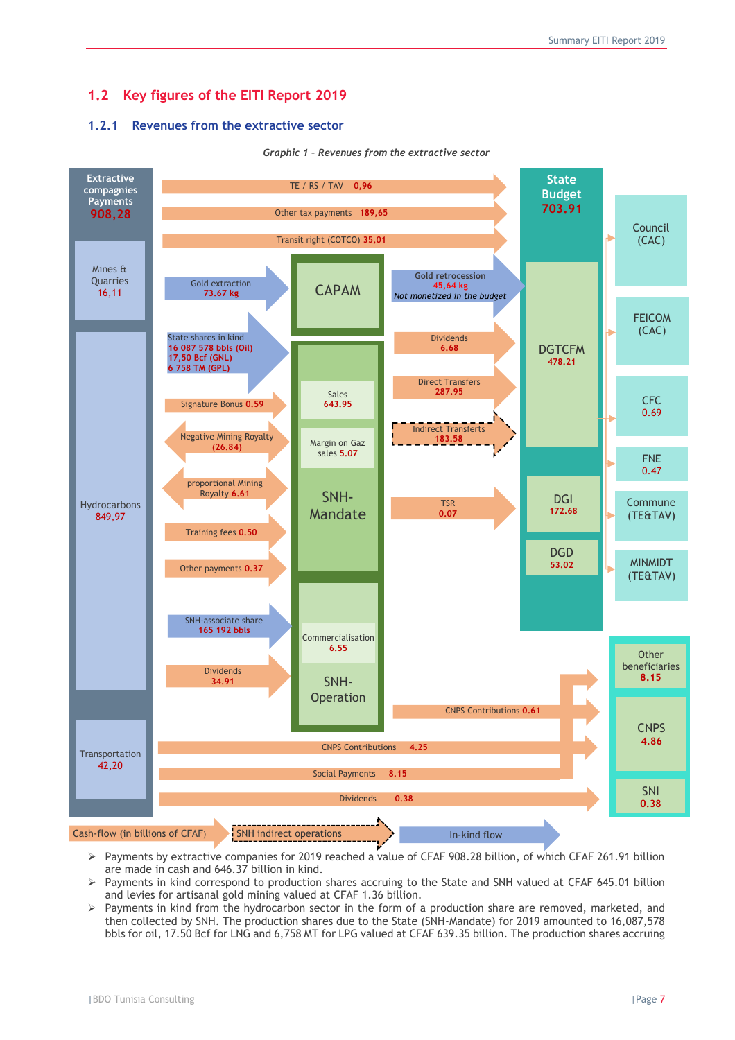# <span id="page-6-0"></span>**1.2 Key figures of the EITI Report 2019**

# <span id="page-6-1"></span>**1.2.1 Revenues from the extractive sector**

<span id="page-6-2"></span>

*Graphic 1 – Revenues from the extractive sector*

➢ Payments by extractive companies for 2019 reached a value of CFAF 908.28 billion, of which CFAF 261.91 billion are made in cash and 646.37 billion in kind.

➢ Payments in kind correspond to production shares accruing to the State and SNH valued at CFAF 645.01 billion and levies for artisanal gold mining valued at CFAF 1.36 billion.

Payments in kind from the hydrocarbon sector in the form of a production share are removed, marketed, and then collected by SNH. The production shares due to the State (SNH-Mandate) for 2019 amounted to 16,087,578 bbls for oil, 17.50 Bcf for LNG and 6,758 MT for LPG valued at CFAF 639.35 billion. The production shares accruing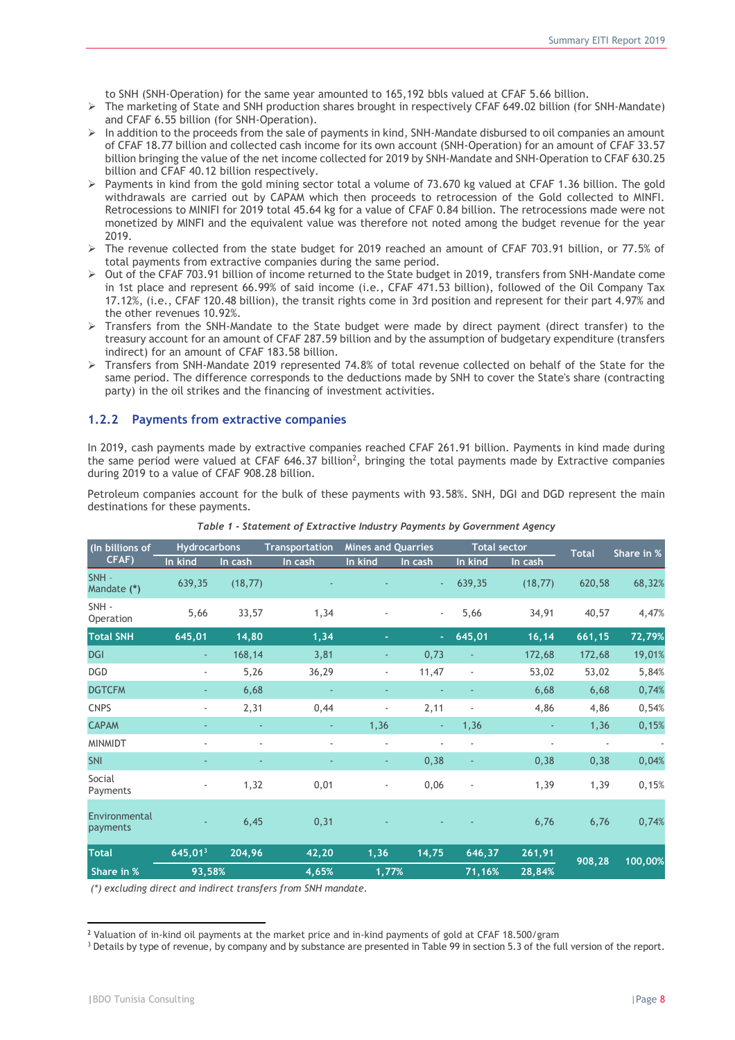to SNH (SNH-Operation) for the same year amounted to 165,192 bbls valued at CFAF 5.66 billion.

- ➢ The marketing of State and SNH production shares brought in respectively CFAF 649.02 billion (for SNH-Mandate) and CFAF 6.55 billion (for SNH-Operation).
- ➢ In addition to the proceeds from the sale of payments in kind, SNH-Mandate disbursed to oil companies an amount of CFAF 18.77 billion and collected cash income for its own account (SNH-Operation) for an amount of CFAF 33.57 billion bringing the value of the net income collected for 2019 by SNH-Mandate and SNH-Operation to CFAF 630.25 billion and CFAF 40.12 billion respectively.
- $\triangleright$  Payments in kind from the gold mining sector total a volume of 73.670 kg valued at CFAF 1.36 billion. The gold withdrawals are carried out by CAPAM which then proceeds to retrocession of the Gold collected to MINFI. Retrocessions to MINIFI for 2019 total 45.64 kg for a value of CFAF 0.84 billion. The retrocessions made were not monetized by MINFI and the equivalent value was therefore not noted among the budget revenue for the year 2019.
- ➢ The revenue collected from the state budget for 2019 reached an amount of CFAF 703.91 billion, or 77.5% of total payments from extractive companies during the same period.
- ➢ Out of the CFAF 703.91 billion of income returned to the State budget in 2019, transfers from SNH-Mandate come in 1st place and represent 66.99% of said income (i.e., CFAF 471.53 billion), followed of the Oil Company Tax 17.12%, (i.e., CFAF 120.48 billion), the transit rights come in 3rd position and represent for their part 4.97% and the other revenues 10.92%.
- ➢ Transfers from the SNH-Mandate to the State budget were made by direct payment (direct transfer) to the treasury account for an amount of CFAF 287.59 billion and by the assumption of budgetary expenditure (transfers indirect) for an amount of CFAF 183.58 billion.
- ➢ Transfers from SNH-Mandate 2019 represented 74.8% of total revenue collected on behalf of the State for the same period. The difference corresponds to the deductions made by SNH to cover the State's share (contracting party) in the oil strikes and the financing of investment activities.

# <span id="page-7-0"></span>**1.2.2 Payments from extractive companies**

In 2019, cash payments made by extractive companies reached CFAF 261.91 billion. Payments in kind made during the same period were valued at CFAF 646.37 billion<sup>2</sup>, bringing the total payments made by Extractive companies during 2019 to a value of CFAF 908.28 billion.

Petroleum companies account for the bulk of these payments with 93.58%. SNH, DGI and DGD represent the main destinations for these payments.

<span id="page-7-1"></span>

| <b>Hydrocarbons</b><br>(In billions of |                          |                          | <b>Transportation</b>    | <b>Mines and Quarries</b> |                          | <b>Total sector</b> |                          | <b>Total</b>             | Share in % |
|----------------------------------------|--------------------------|--------------------------|--------------------------|---------------------------|--------------------------|---------------------|--------------------------|--------------------------|------------|
| CFAF                                   | In kind                  | In cash                  | In cash                  | In kind                   | In cash                  | In kind             | In cash                  |                          |            |
| SNH-<br>Mandate (*)                    | 639,35                   | (18, 77)                 |                          |                           |                          | 639,35              | (18, 77)                 | 620,58                   | 68,32%     |
| SNH-<br>Operation                      | 5,66                     | 33,57                    | 1,34                     |                           | $\overline{\phantom{a}}$ | 5,66                | 34,91                    | 40,57                    | 4,47%      |
| <b>Total SNH</b>                       | 645,01                   | 14,80                    | 1,34                     |                           | $\blacksquare$           | 645,01              | 16, 14                   | 661,15                   | 72,79%     |
| <b>DGI</b>                             | ٠                        | 168,14                   | 3,81                     |                           | 0,73                     |                     | 172,68                   | 172,68                   | 19,01%     |
| <b>DGD</b>                             | $\overline{\phantom{a}}$ | 5,26                     | 36,29                    |                           | 11,47                    | ×                   | 53,02                    | 53,02                    | 5,84%      |
| <b>DGTCFM</b>                          |                          | 6,68                     |                          |                           |                          |                     | 6,68                     | 6,68                     | 0,74%      |
| <b>CNPS</b>                            | ۰                        | 2,31                     | 0,44                     |                           | 2,11                     | ٠                   | 4,86                     | 4,86                     | 0,54%      |
| <b>CAPAM</b>                           |                          | ٠                        |                          | 1,36                      |                          | 1,36                |                          | 1,36                     | 0,15%      |
| MINMIDT                                | $\overline{\phantom{a}}$ | $\overline{\phantom{a}}$ | $\overline{\phantom{a}}$ | ÷,                        |                          | $\sim$              | $\overline{\phantom{a}}$ | $\overline{\phantom{a}}$ | $\sim$     |
| <b>SNI</b>                             |                          |                          |                          |                           | 0,38                     |                     | 0,38                     | 0,38                     | 0,04%      |
| Social<br>Payments                     |                          | 1,32                     | 0,01                     |                           | 0,06                     |                     | 1,39                     | 1,39                     | 0,15%      |
| Environmental<br>payments              |                          | 6,45                     | 0,31                     |                           |                          |                     | 6,76                     | 6,76                     | 0,74%      |
| <b>Total</b>                           | $645,01^3$               | 204,96                   | 42,20                    | 1,36                      | 14,75                    | 646,37              | 261,91                   | 908,28                   | 100,00%    |
| Share in %                             | 93,58%                   |                          | 4,65%                    | 1,77%                     |                          | 71,16%              | 28,84%                   |                          |            |

|  |  |  |  | Table 1 - Statement of Extractive Industry Payments by Government Agency |  |
|--|--|--|--|--------------------------------------------------------------------------|--|
|  |  |  |  |                                                                          |  |

*(\*) excluding direct and indirect transfers from SNH mandate.* 

<sup>&</sup>lt;sup>2</sup> Valuation of in-kind oil payments at the market price and in-kind payments of gold at CFAF 18.500/gram

<sup>&</sup>lt;sup>3</sup> Details by type of revenue, by company and by substance are presented in Table 99 in section 5.3 of the full version of the report.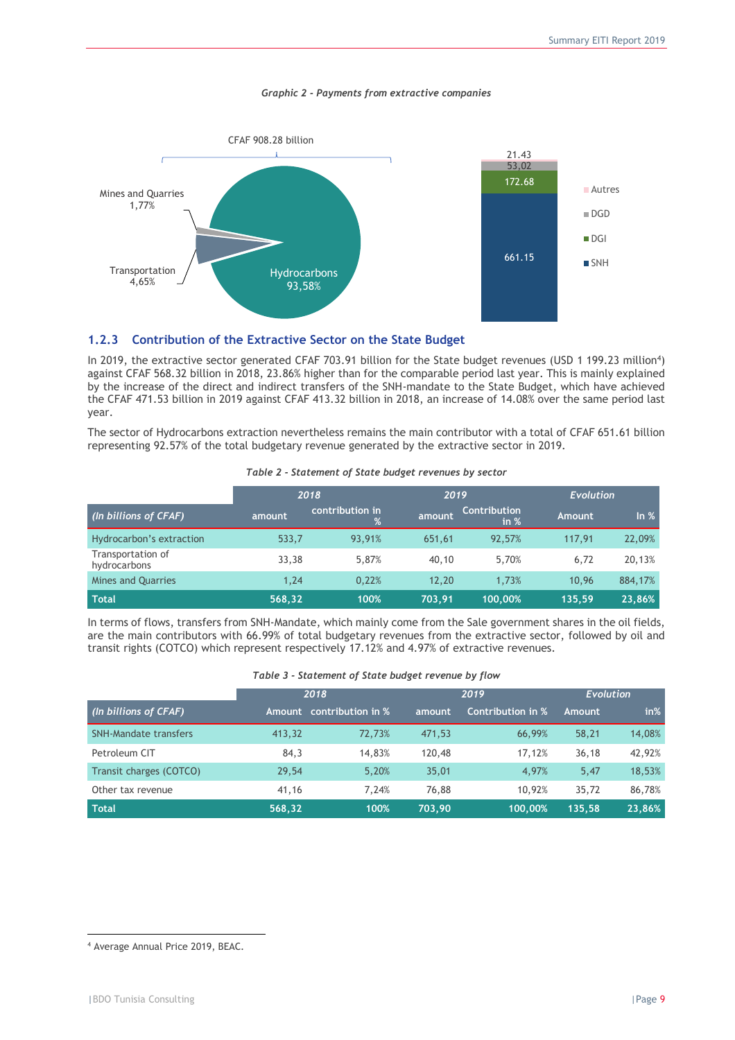#### *Graphic 2 - Payments from extractive companies*

<span id="page-8-3"></span>

# <span id="page-8-0"></span>**1.2.3 Contribution of the Extractive Sector on the State Budget**

In 2019, the extractive sector generated CFAF 703.91 billion for the State budget revenues (USD 1 199.23 million<sup>4</sup>) against CFAF 568.32 billion in 2018, 23.86% higher than for the comparable period last year. This is mainly explained by the increase of the direct and indirect transfers of the SNH-mandate to the State Budget, which have achieved the CFAF 471.53 billion in 2019 against CFAF 413.32 billion in 2018, an increase of 14.08% over the same period last year.

The sector of Hydrocarbons extraction nevertheless remains the main contributor with a total of CFAF 651.61 billion representing 92.57% of the total budgetary revenue generated by the extractive sector in 2019.

<span id="page-8-1"></span>

|                                   | 2018   |                      | 2019   |                        | <b>Evolution</b> |         |
|-----------------------------------|--------|----------------------|--------|------------------------|------------------|---------|
| (In billions of CFAF)             | amount | contribution in<br>% | amount | Contribution<br>in $%$ | Amount           | ln %    |
| Hydrocarbon's extraction          | 533,7  | 93.91%               | 651,61 | 92.57%                 | 117.91           | 22,09%  |
| Transportation of<br>hydrocarbons | 33,38  | 5,87%                | 40,10  | 5,70%                  | 6,72             | 20,13%  |
| <b>Mines and Quarries</b>         | 1,24   | 0.22%                | 12,20  | 1,73%                  | 10.96            | 884,17% |
| <b>Total</b>                      | 568,32 | 100%                 | 703.91 | 100.00%                | 135.59           | 23,86%  |

#### *Table 2 - Statement of State budget revenues by sector*

In terms of flows, transfers from SNH-Mandate, which mainly come from the Sale government shares in the oil fields, are the main contributors with 66.99% of total budgetary revenues from the extractive sector, followed by oil and transit rights (COTCO) which represent respectively 17.12% and 4.97% of extractive revenues.

| Table 3 - Statement of State budget revenue by flow |  |  |  |  |  |  |
|-----------------------------------------------------|--|--|--|--|--|--|
|-----------------------------------------------------|--|--|--|--|--|--|

<span id="page-8-2"></span>

|                              |               | 2018              |        | 2019              |               | <b>Evolution</b> |
|------------------------------|---------------|-------------------|--------|-------------------|---------------|------------------|
| $\mid$ (In billions of CFAF) | <b>Amount</b> | contribution in % | amount | Contribution in % | <b>Amount</b> | in%              |
| <b>SNH-Mandate transfers</b> | 413,32        | 72.73%            | 471,53 | 66.99%            | 58.21         | 14,08%           |
| Petroleum CIT                | 84,3          | 14,83%            | 120,48 | 17,12%            | 36,18         | 42,92%           |
| Transit charges (COTCO)      | 29.54         | 5,20%             | 35,01  | 4.97%             | 5,47          | 18,53%           |
| Other tax revenue            | 41,16         | 7.24%             | 76,88  | 10.92%            | 35,72         | 86,78%           |
| <b>Total</b>                 | 568,32        | 100%              | 703,90 | 100.00%           | 135.58        | 23,86%           |

<sup>4</sup> Average Annual Price 2019, BEAC.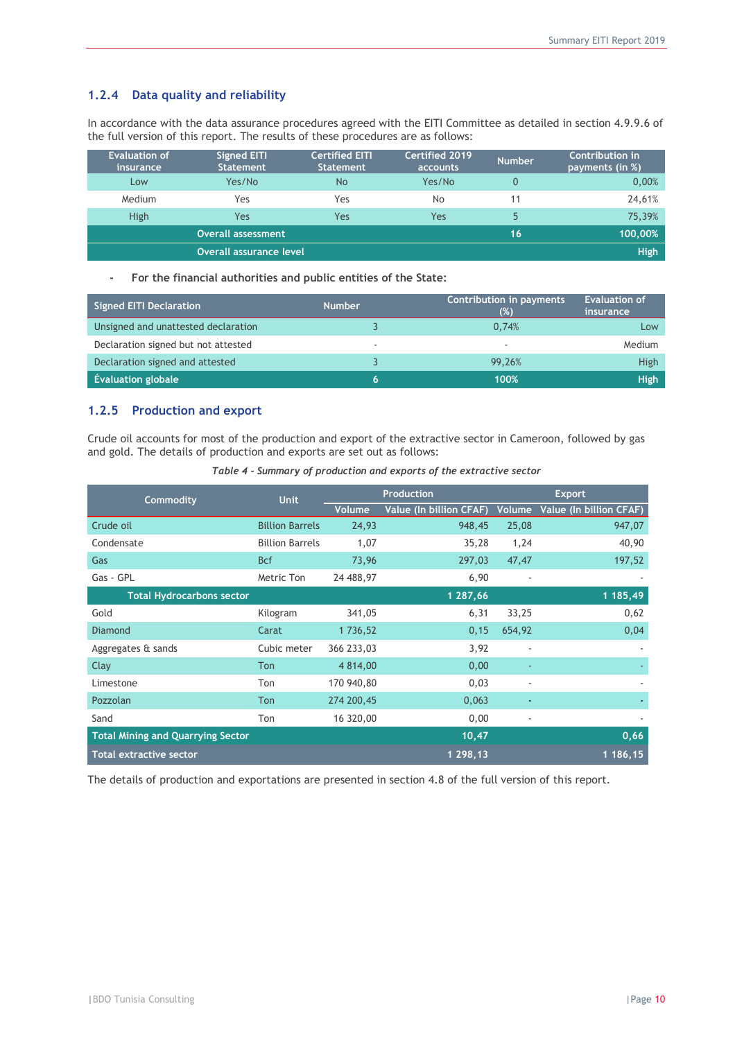# <span id="page-9-0"></span>**1.2.4 Data quality and reliability**

In accordance with the data assurance procedures agreed with the EITI Committee as detailed in section 4.9.9.6 of the full version of this report. The results of these procedures are as follows:

| <b>Evaluation of</b><br>insurance | Signed EITI<br><b>Statement</b> | <b>Certified EITI</b><br><b>Statement</b> | Certified 2019<br>accounts | <b>Number</b> | Contribution in<br>payments (in %) |
|-----------------------------------|---------------------------------|-------------------------------------------|----------------------------|---------------|------------------------------------|
| Low                               | Yes/No                          | N <sub>o</sub>                            | Yes/No                     | 0             | 0,00%                              |
| Medium                            | Yes                             | Yes                                       | No                         | 11            | 24,61%                             |
| High                              | Yes                             | Yes                                       | Yes                        | 5             | 75,39%                             |
|                                   | Overall assessment              |                                           |                            | 16            | 100,00%                            |
|                                   | Overall assurance level         |                                           |                            |               | <b>High</b>                        |

**- For the financial authorities and public entities of the State:**

| <b>Signed EITI Declaration</b>      | <b>Number</b>            | <b>Contribution in payments</b><br>(%) | <b>Evaluation of</b><br>insurance |
|-------------------------------------|--------------------------|----------------------------------------|-----------------------------------|
| Unsigned and unattested declaration |                          | 0.74%                                  | Low                               |
| Declaration signed but not attested | $\overline{\phantom{a}}$ | $\overline{\phantom{a}}$               | Medium                            |
| Declaration signed and attested     |                          | 99.26%                                 | High                              |
| <b>Évaluation globale</b>           |                          | 100%                                   | <b>High</b>                       |

# <span id="page-9-1"></span>**1.2.5 Production and export**

<span id="page-9-2"></span>Crude oil accounts for most of the production and export of the extractive sector in Cameroon, followed by gas and gold. The details of production and exports are set out as follows:

| Commodity                                | Unit                   |             | Production              | <b>Export</b> |                         |  |
|------------------------------------------|------------------------|-------------|-------------------------|---------------|-------------------------|--|
|                                          |                        | Volume      | Value (In billion CFAF) | Volume        | Value (In billion CFAF) |  |
| Crude oil                                | <b>Billion Barrels</b> | 24,93       | 948,45                  | 25,08         | 947,07                  |  |
| Condensate                               | <b>Billion Barrels</b> | 1,07        | 35,28                   | 1,24          | 40,90                   |  |
| Gas                                      | <b>Bcf</b>             | 73,96       | 297,03                  | 47,47         | 197,52                  |  |
| Gas - GPL                                | Metric Ton             | 24 488,97   | 6,90                    | ٠             |                         |  |
| <b>Total Hydrocarbons sector</b>         |                        |             | 1 287,66                |               | 1 185,49                |  |
| Gold                                     | Kilogram               | 341,05      | 6,31                    | 33,25         | 0,62                    |  |
| <b>Diamond</b>                           | Carat                  | 1 736,52    | 0, 15                   | 654,92        | 0,04                    |  |
| Aggregates & sands                       | Cubic meter            | 366 233,03  | 3,92                    | ٠             |                         |  |
| Clay                                     | <b>Ton</b>             | 4 8 1 4 ,00 | 0,00                    |               |                         |  |
| Limestone                                | Ton                    | 170 940,80  | 0,03                    |               |                         |  |
| Pozzolan                                 | <b>Ton</b>             | 274 200,45  | 0,063                   |               |                         |  |
| Sand                                     | Ton                    | 16 320,00   | 0,00                    | $\bar{ }$     |                         |  |
| <b>Total Mining and Quarrying Sector</b> |                        | 10,47       |                         | 0,66          |                         |  |
| <b>Total extractive sector</b>           |                        |             | 1 298,13                |               | 1 186,15                |  |

*Table 4 - Summary of production and exports of the extractive sector*

The details of production and exportations are presented in section 4.8 of the full version of this report.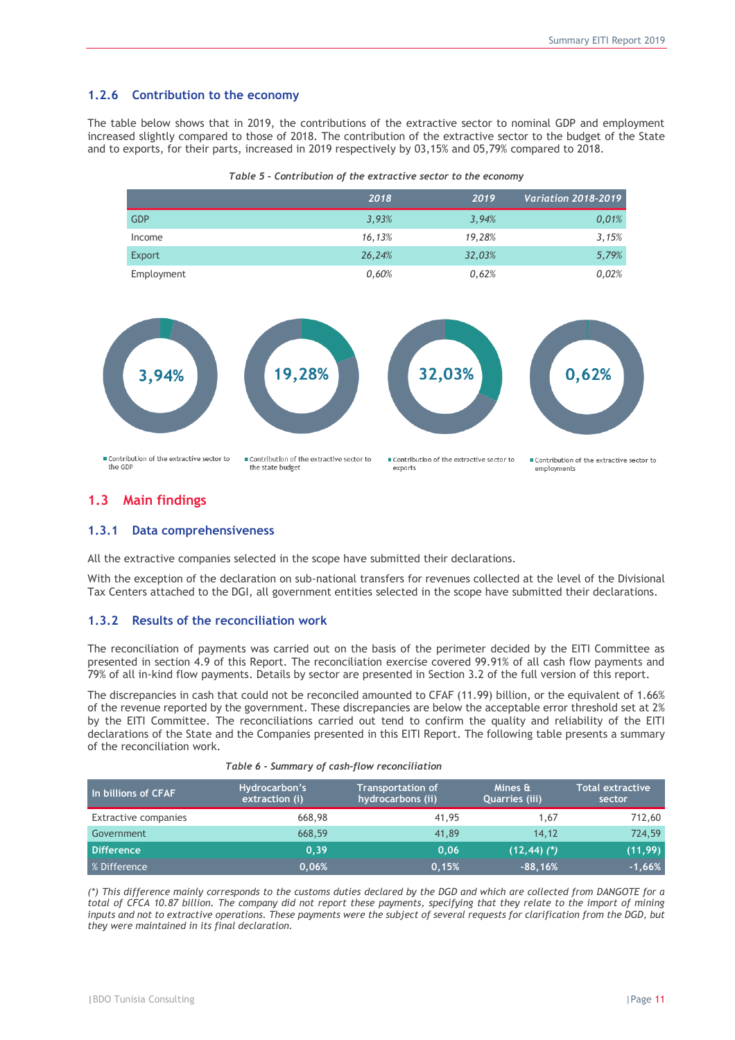# <span id="page-10-0"></span>**1.2.6 Contribution to the economy**

The table below shows that in 2019, the contributions of the extractive sector to nominal GDP and employment increased slightly compared to those of 2018. The contribution of the extractive sector to the budget of the State and to exports, for their parts, increased in 2019 respectively by 03,15% and 05,79% compared to 2018.

*Table 5 - Contribution of the extractive sector to the economy* 

<span id="page-10-4"></span>

|               | 2018   | 2019   | <b>Variation 2018-2019</b> |
|---------------|--------|--------|----------------------------|
| <b>GDP</b>    | 3,93%  | 3.94%  | 0,01%                      |
| Income        | 16.13% | 19.28% | 3,15%                      |
| <b>Export</b> | 26.24% | 32,03% | 5,79%                      |
| Employment    | 0,60%  | 0,62%  | 0.02%                      |



# <span id="page-10-1"></span>**1.3 Main findings**

# <span id="page-10-2"></span>**1.3.1 Data comprehensiveness**

All the extractive companies selected in the scope have submitted their declarations.

With the exception of the declaration on sub-national transfers for revenues collected at the level of the Divisional Tax Centers attached to the DGI, all government entities selected in the scope have submitted their declarations.

# <span id="page-10-3"></span>**1.3.2 Results of the reconciliation work**

The reconciliation of payments was carried out on the basis of the perimeter decided by the EITI Committee as presented in section 4.9 of this Report. The reconciliation exercise covered 99.91% of all cash flow payments and 79% of all in-kind flow payments. Details by sector are presented in Section 3.2 of the full version of this report.

The discrepancies in cash that could not be reconciled amounted to CFAF (11.99) billion, or the equivalent of 1.66% of the revenue reported by the government. These discrepancies are below the acceptable error threshold set at 2% by the EITI Committee. The reconciliations carried out tend to confirm the quality and reliability of the EITI declarations of the State and the Companies presented in this EITI Report. The following table presents a summary of the reconciliation work.

| In billions of CFAF         | Hydrocarbon's<br>extraction (i) | <b>Transportation of</b><br>hydrocarbons (ii) | Mines &<br><b>Quarries (iii)</b> | <b>Total extractive</b><br>sector |
|-----------------------------|---------------------------------|-----------------------------------------------|----------------------------------|-----------------------------------|
| <b>Extractive companies</b> | 668.98                          | 41,95                                         | 1.67                             | 712,60                            |
| Government                  | 668,59                          | 41,89                                         | 14.12                            | 724,59                            |
| <b>Difference</b>           | 0.39                            | 0.06                                          | $(12, 44)$ $(*)$                 | (11, 99)                          |
| % Difference                | $0,06\%$                        | 0,15%                                         | $-88,16%$                        | $-1,66%$                          |

<span id="page-10-5"></span>*Table 6 - Summary of cash-flow reconciliation* 

*(\*) This difference mainly corresponds to the customs duties declared by the DGD and which are collected from DANGOTE for a total of CFCA 10.87 billion. The company did not report these payments, specifying that they relate to the import of mining inputs and not to extractive operations. These payments were the subject of several requests for clarification from the DGD, but they were maintained in its final declaration.*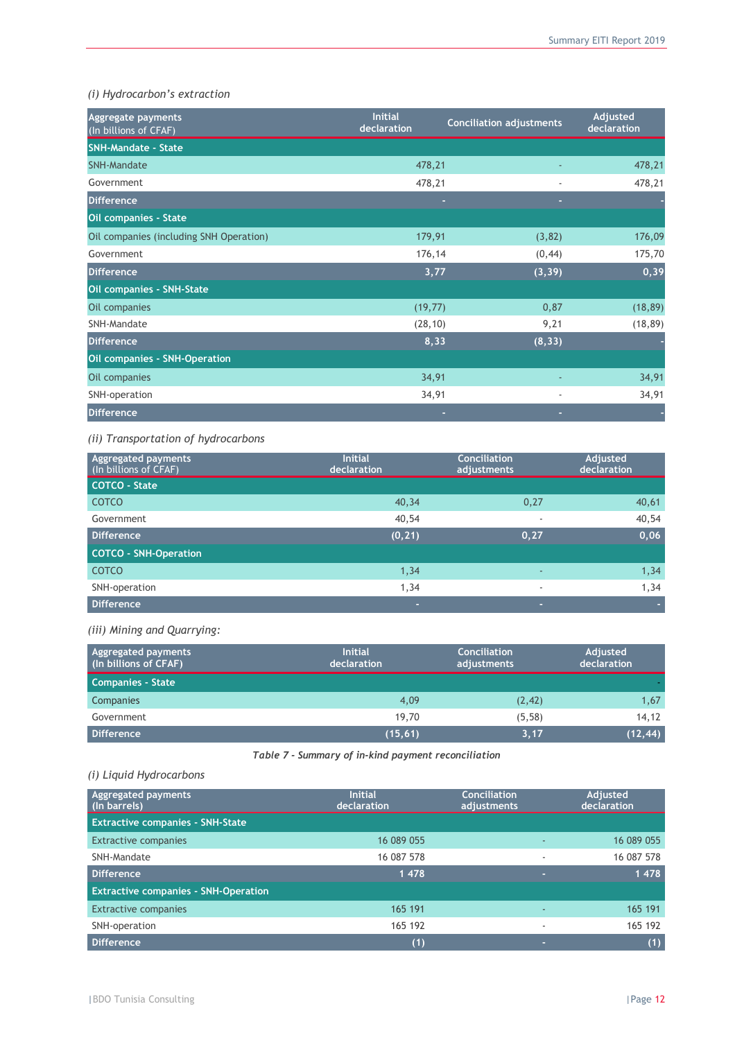# *(i) Hydrocarbon's extraction*

| Aggregate payments<br>(In billions of CFAF) | <b>Initial</b><br>declaration | <b>Conciliation adjustments</b> | Adjusted<br>declaration |
|---------------------------------------------|-------------------------------|---------------------------------|-------------------------|
| <b>SNH-Mandate - State</b>                  |                               |                                 |                         |
| <b>SNH-Mandate</b>                          | 478,21                        |                                 | 478,21                  |
| Government                                  | 478,21                        |                                 | 478,21                  |
| <b>Difference</b>                           |                               |                                 |                         |
| Oil companies - State                       |                               |                                 |                         |
| Oil companies (including SNH Operation)     | 179,91                        | (3, 82)                         | 176,09                  |
| Government                                  | 176,14                        | (0, 44)                         | 175,70                  |
| <b>Difference</b>                           | 3,77                          | (3, 39)                         | 0, 39                   |
| Oil companies - SNH-State                   |                               |                                 |                         |
| Oil companies                               | (19, 77)                      | 0,87                            | (18, 89)                |
| SNH-Mandate                                 | (28, 10)                      | 9,21                            | (18, 89)                |
| <b>Difference</b>                           | 8,33                          | (8, 33)                         |                         |
| Oil companies - SNH-Operation               |                               |                                 |                         |
| Oil companies                               | 34,91                         |                                 | 34,91                   |
| SNH-operation                               | 34,91                         |                                 | 34,91                   |
| <b>Difference</b>                           |                               |                                 |                         |

# *(ii) Transportation of hydrocarbons*

| <b>Aggregated payments</b><br>(In billions of CFAF) | <b>Initial</b><br>declaration | <b>Conciliation</b><br>adjustments | Adjusted<br>declaration |
|-----------------------------------------------------|-------------------------------|------------------------------------|-------------------------|
| <b>COTCO - State</b>                                |                               |                                    |                         |
| <b>COTCO</b>                                        | 40,34                         | 0,27                               | 40,61                   |
| Government                                          | 40,54                         | $\overline{\phantom{a}}$           | 40,54                   |
| Difference                                          | (0, 21)                       | 0,27                               | 0,06                    |
| <b>COTCO - SNH-Operation</b>                        |                               |                                    |                         |
| <b>COTCO</b>                                        | 1,34                          |                                    | 1,34                    |
| SNH-operation                                       | 1,34                          | $\overline{\phantom{a}}$           | 1,34                    |
| <b>Difference</b>                                   | ٠                             | ٠                                  | ×                       |

# *(iii) Mining and Quarrying:*

| Aggregated payments<br>(In billions of CFAF) | <b>Initial</b><br>declaration | <b>Conciliation</b><br>adjustments | Adjusted<br>declaration |  |
|----------------------------------------------|-------------------------------|------------------------------------|-------------------------|--|
| <b>Companies - State</b>                     |                               |                                    |                         |  |
| <b>Companies</b>                             | 4,09                          | (2, 42)                            | 1,67                    |  |
| Government                                   | 19.70                         | (5, 58)                            | 14.12                   |  |
| <b>Difference</b>                            | (15, 61)                      | 3,17                               | (12, 44)                |  |

*Table 7 - Summary of in-kind payment reconciliation*

# <span id="page-11-0"></span>*(i) Liquid Hydrocarbons*

| Aggregated payments<br>(In barrels)         | <b>Initial</b><br>declaration | <b>Conciliation</b><br>adjustments | Adjusted<br>declaration |
|---------------------------------------------|-------------------------------|------------------------------------|-------------------------|
| <b>Extractive companies - SNH-State</b>     |                               |                                    |                         |
| <b>Extractive companies</b>                 | 16 089 055                    |                                    | 16 089 055<br>٠         |
| SNH-Mandate                                 | 16 087 578                    |                                    | 16 087 578<br>۰         |
| <b>Difference</b>                           | 1478                          |                                    | 1 4 7 8<br>۰            |
| <b>Extractive companies - SNH-Operation</b> |                               |                                    |                         |
| <b>Extractive companies</b>                 | 165 191                       |                                    | 165 191                 |
| SNH-operation                               | 165 192                       |                                    | 165 192<br>۰            |
| <b>Difference</b>                           | (1)                           |                                    | (1)<br>۰                |